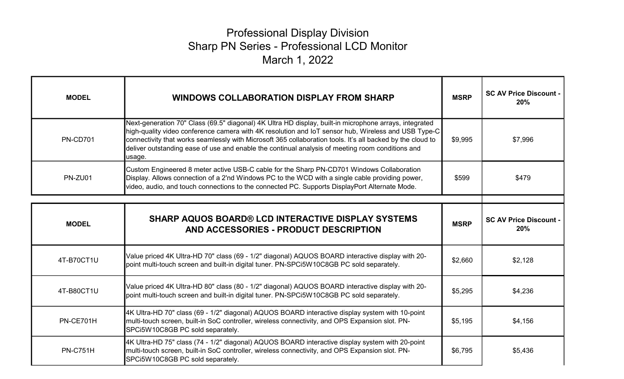## Professional Display Division Sharp PN Series - Professional LCD Monitor March 1, 2022

| <b>MODEL</b>    | <b>WINDOWS COLLABORATION DISPLAY FROM SHARP</b>                                                                                                                                                                                                                                                                                                                                                                                           | <b>MSRP</b> | <b>SC AV Price Discount -</b><br>20% |
|-----------------|-------------------------------------------------------------------------------------------------------------------------------------------------------------------------------------------------------------------------------------------------------------------------------------------------------------------------------------------------------------------------------------------------------------------------------------------|-------------|--------------------------------------|
| <b>PN-CD701</b> | Next-generation 70" Class (69.5" diagonal) 4K Ultra HD display, built-in microphone arrays, integrated<br>high-quality video conference camera with 4K resolution and IoT sensor hub, Wireless and USB Type-C<br>connectivity that works seamlessly with Microsoft 365 collaboration tools. It's all backed by the cloud to<br>deliver outstanding ease of use and enable the continual analysis of meeting room conditions and<br>usage. | \$9,995     | \$7,996                              |
| PN-ZU01         | Custom Engineered 8 meter active USB-C cable for the Sharp PN-CD701 Windows Collaboration<br>Display. Allows connection of a 2'nd Windows PC to the WCD with a single cable providing power,<br>video, audio, and touch connections to the connected PC. Supports DisplayPort Alternate Mode.                                                                                                                                             | \$599       | \$479                                |
|                 |                                                                                                                                                                                                                                                                                                                                                                                                                                           |             |                                      |
| <b>MODEL</b>    | <b>SHARP AQUOS BOARD® LCD INTERACTIVE DISPLAY SYSTEMS</b><br>AND ACCESSORIES - PRODUCT DESCRIPTION                                                                                                                                                                                                                                                                                                                                        | <b>MSRP</b> | <b>SC AV Price Discount -</b><br>20% |
| 4T-B70CT1U      | Value priced 4K Ultra-HD 70" class (69 - 1/2" diagonal) AQUOS BOARD interactive display with 20-<br>point multi-touch screen and built-in digital tuner. PN-SPCi5W10C8GB PC sold separately.                                                                                                                                                                                                                                              | \$2,660     | \$2,128                              |
| 4T-B80CT1U      | Value priced 4K Ultra-HD 80" class (80 - 1/2" diagonal) AQUOS BOARD interactive display with 20-<br>point multi-touch screen and built-in digital tuner. PN-SPCi5W10C8GB PC sold separately.                                                                                                                                                                                                                                              | \$5,295     | \$4,236                              |
| PN-CE701H       | 4K Ultra-HD 70" class (69 - 1/2" diagonal) AQUOS BOARD interactive display system with 10-point<br>multi-touch screen, built-in SoC controller, wireless connectivity, and OPS Expansion slot. PN-<br>SPCi5W10C8GB PC sold separately.                                                                                                                                                                                                    | \$5,195     | \$4,156                              |
| <b>PN-C751H</b> | 4K Ultra-HD 75" class (74 - 1/2" diagonal) AQUOS BOARD interactive display system with 20-point<br>multi-touch screen, built-in SoC controller, wireless connectivity, and OPS Expansion slot. PN-<br>SPCi5W10C8GB PC sold separately.                                                                                                                                                                                                    | \$6,795     | \$5,436                              |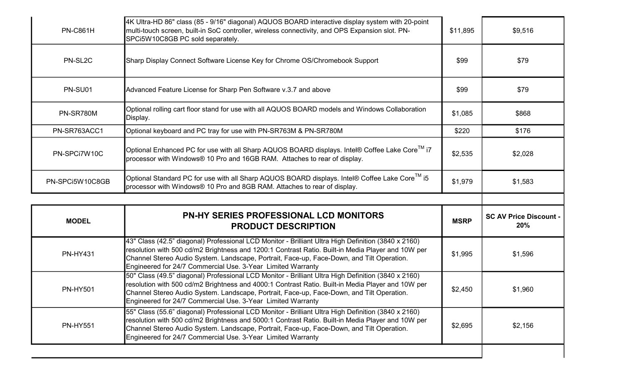| <b>PN-C861H</b>  | 4K Ultra-HD 86" class (85 - 9/16" diagonal) AQUOS BOARD interactive display system with 20-point<br>multi-touch screen, built-in SoC controller, wireless connectivity, and OPS Expansion slot. PN-<br>SPCi5W10C8GB PC sold separately.                                                                                                                              | \$11,895    | \$9,516                              |
|------------------|----------------------------------------------------------------------------------------------------------------------------------------------------------------------------------------------------------------------------------------------------------------------------------------------------------------------------------------------------------------------|-------------|--------------------------------------|
| PN-SL2C          | Sharp Display Connect Software License Key for Chrome OS/Chromebook Support                                                                                                                                                                                                                                                                                          | \$99        | \$79                                 |
| PN-SU01          | Advanced Feature License for Sharp Pen Software v.3.7 and above                                                                                                                                                                                                                                                                                                      | \$99        | \$79                                 |
| <b>PN-SR780M</b> | Optional rolling cart floor stand for use with all AQUOS BOARD models and Windows Collaboration<br>Display.                                                                                                                                                                                                                                                          | \$1,085     | \$868                                |
| PN-SR763ACC1     | Optional keyboard and PC tray for use with PN-SR763M & PN-SR780M                                                                                                                                                                                                                                                                                                     | \$220       | \$176                                |
| PN-SPCi7W10C     | Optional Enhanced PC for use with all Sharp AQUOS BOARD displays. Intel® Coffee Lake Core <sup>™</sup> i7<br>processor with Windows® 10 Pro and 16GB RAM. Attaches to rear of display.                                                                                                                                                                               | \$2,535     | \$2,028                              |
| PN-SPCi5W10C8GB  | Optional Standard PC for use with all Sharp AQUOS BOARD displays. Intel® Coffee Lake Core <sup>1M</sup> i5<br>processor with Windows® 10 Pro and 8GB RAM. Attaches to rear of display.                                                                                                                                                                               | \$1,979     | \$1,583                              |
|                  |                                                                                                                                                                                                                                                                                                                                                                      |             |                                      |
|                  |                                                                                                                                                                                                                                                                                                                                                                      |             |                                      |
| <b>MODEL</b>     | <b>PN-HY SERIES PROFESSIONAL LCD MONITORS</b><br><b>PRODUCT DESCRIPTION</b>                                                                                                                                                                                                                                                                                          | <b>MSRP</b> | <b>SC AV Price Discount -</b><br>20% |
| <b>PN-HY431</b>  | 43" Class (42.5" diagonal) Professional LCD Monitor - Brilliant Ultra High Definition (3840 x 2160)<br>resolution with 500 cd/m2 Brightness and 1200:1 Contrast Ratio. Built-in Media Player and 10W per<br>Channel Stereo Audio System. Landscape, Portrait, Face-up, Face-Down, and Tilt Operation.<br>Engineered for 24/7 Commercial Use. 3-Year Limited Warranty | \$1,995     | \$1,596                              |
| <b>PN-HY501</b>  | 50" Class (49.5" diagonal) Professional LCD Monitor - Brilliant Ultra High Definition (3840 x 2160)<br>resolution with 500 cd/m2 Brightness and 4000:1 Contrast Ratio. Built-in Media Player and 10W per<br>Channel Stereo Audio System. Landscape, Portrait, Face-up, Face-Down, and Tilt Operation.<br>Engineered for 24/7 Commercial Use. 3-Year Limited Warranty | \$2,450     | \$1,960                              |
| <b>PN-HY551</b>  | 55" Class (55.6" diagonal) Professional LCD Monitor - Brilliant Ultra High Definition (3840 x 2160)<br>resolution with 500 cd/m2 Brightness and 5000:1 Contrast Ratio. Built-in Media Player and 10W per<br>Channel Stereo Audio System. Landscape, Portrait, Face-up, Face-Down, and Tilt Operation.<br>Engineered for 24/7 Commercial Use. 3-Year Limited Warranty | \$2,695     | \$2,156                              |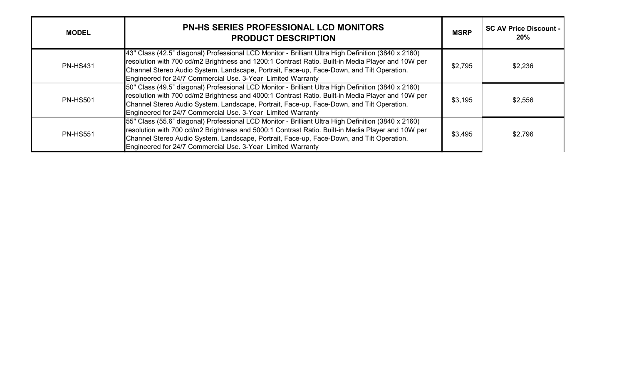| <b>MODEL</b>    | <b>PN-HS SERIES PROFESSIONAL LCD MONITORS</b><br><b>PRODUCT DESCRIPTION</b>                                                                                                                                                                                                                                                                                           | <b>MSRP</b> | <b>SC AV Price Discount -</b><br>20% |
|-----------------|-----------------------------------------------------------------------------------------------------------------------------------------------------------------------------------------------------------------------------------------------------------------------------------------------------------------------------------------------------------------------|-------------|--------------------------------------|
| <b>PN-HS431</b> | [43" Class (42.5" diagonal) Professional LCD Monitor - Brilliant Ultra High Definition (3840 x 2160)<br>resolution with 700 cd/m2 Brightness and 1200:1 Contrast Ratio. Built-in Media Player and 10W per<br>Channel Stereo Audio System. Landscape, Portrait, Face-up, Face-Down, and Tilt Operation.<br>Engineered for 24/7 Commercial Use. 3-Year Limited Warranty | \$2,795     | \$2,236                              |
| <b>PN-HS501</b> | 50" Class (49.5" diagonal) Professional LCD Monitor - Brilliant Ultra High Definition (3840 x 2160)<br>resolution with 700 cd/m2 Brightness and 4000:1 Contrast Ratio. Built-in Media Player and 10W per<br>Channel Stereo Audio System. Landscape, Portrait, Face-up, Face-Down, and Tilt Operation.<br>Engineered for 24/7 Commercial Use. 3-Year Limited Warranty  | \$3,195     | \$2,556                              |
| <b>PN-HS551</b> | 55" Class (55.6" diagonal) Professional LCD Monitor - Brilliant Ultra High Definition (3840 x 2160)<br>resolution with 700 cd/m2 Brightness and 5000:1 Contrast Ratio. Built-in Media Player and 10W per<br>Channel Stereo Audio System. Landscape, Portrait, Face-up, Face-Down, and Tilt Operation.<br>Engineered for 24/7 Commercial Use. 3-Year Limited Warranty  | \$3,495     | \$2,796                              |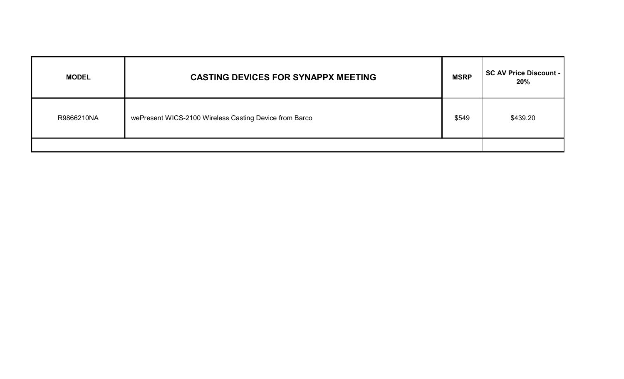| <b>MODEL</b> | <b>CASTING DEVICES FOR SYNAPPX MEETING</b>             | <b>MSRP</b> | <b>SC AV Price Discount -</b><br>20% |
|--------------|--------------------------------------------------------|-------------|--------------------------------------|
| R9866210NA   | wePresent WICS-2100 Wireless Casting Device from Barco | \$549       | \$439.20                             |
|              |                                                        |             |                                      |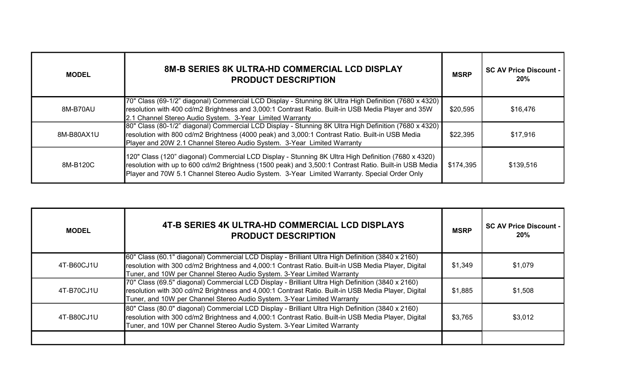| <b>MODEL</b> | <b>8M-B SERIES 8K ULTRA-HD COMMERCIAL LCD DISPLAY</b><br><b>PRODUCT DESCRIPTION</b>                                                                                                                                                                                                                         | <b>MSRP</b> | <b>SC AV Price Discount -</b><br>20% |
|--------------|-------------------------------------------------------------------------------------------------------------------------------------------------------------------------------------------------------------------------------------------------------------------------------------------------------------|-------------|--------------------------------------|
| 8M-B70AU     | 70" Class (69-1/2" diagonal) Commercial LCD Display - Stunning 8K Ultra High Definition (7680 x 4320)<br>resolution with 400 cd/m2 Brightness and 3,000:1 Contrast Ratio. Built-in USB Media Player and 35W<br>2.1 Channel Stereo Audio System. 3-Year Limited Warranty                                     | \$20,595    | \$16,476                             |
| 8M-B80AX1U   | 80" Class (80-1/2" diagonal) Commercial LCD Display - Stunning 8K Ultra High Definition (7680 x 4320)<br>resolution with 800 cd/m2 Brightness (4000 peak) and 3,000:1 Contrast Ratio. Built-in USB Media<br>Player and 20W 2.1 Channel Stereo Audio System. 3-Year Limited Warranty                         | \$22,395    | \$17,916                             |
| 8M-B120C     | 120" Class (120" diagonal) Commercial LCD Display - Stunning 8K Ultra High Definition (7680 x 4320)<br>resolution with up to 600 cd/m2 Brightness (1500 peak) and 3,500:1 Contrast Ratio. Built-in USB Media<br>Player and 70W 5.1 Channel Stereo Audio System. 3-Year Limited Warranty. Special Order Only | \$174,395   | \$139,516                            |

| <b>MODEL</b> | 4T-B SERIES 4K ULTRA-HD COMMERCIAL LCD DISPLAYS<br><b>PRODUCT DESCRIPTION</b>                                                                                                                                                                                                       | <b>MSRP</b> | <b>SC AV Price Discount -</b><br>20% |
|--------------|-------------------------------------------------------------------------------------------------------------------------------------------------------------------------------------------------------------------------------------------------------------------------------------|-------------|--------------------------------------|
| 4T-B60CJ1U   | 60" Class (60.1" diagonal) Commercial LCD Display - Brilliant Ultra High Definition (3840 x 2160)<br>resolution with 300 cd/m2 Brightness and 4,000:1 Contrast Ratio. Built-in USB Media Player, Digital<br>Tuner, and 10W per Channel Stereo Audio System. 3-Year Limited Warranty | \$1,349     | \$1,079                              |
| 4T-B70CJ1U   | 70" Class (69.5" diagonal) Commercial LCD Display - Brilliant Ultra High Definition (3840 x 2160)<br>resolution with 300 cd/m2 Brightness and 4,000:1 Contrast Ratio. Built-in USB Media Player, Digital<br>Tuner, and 10W per Channel Stereo Audio System. 3-Year Limited Warranty | \$1,885     | \$1,508                              |
| 4T-B80CJ1U   | 80" Class (80.0" diagonal) Commercial LCD Display - Brilliant Ultra High Definition (3840 x 2160)<br>resolution with 300 cd/m2 Brightness and 4,000:1 Contrast Ratio. Built-in USB Media Player, Digital<br>Tuner, and 10W per Channel Stereo Audio System. 3-Year Limited Warranty | \$3,765     | \$3,012                              |
|              |                                                                                                                                                                                                                                                                                     |             |                                      |